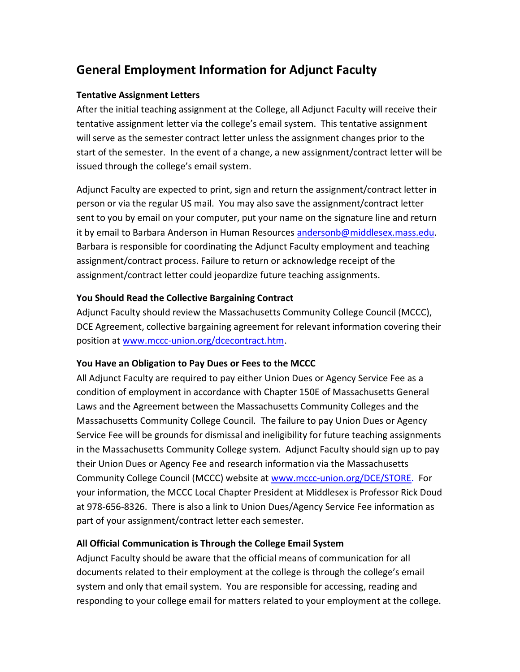# **General Employment Information for Adjunct Faculty**

## **Tentative Assignment Letters**

After the initial teaching assignment at the College, all Adjunct Faculty will receive their tentative assignment letter via the college's email system. This tentative assignment will serve as the semester contract letter unless the assignment changes prior to the start of the semester. In the event of a change, a new assignment/contract letter will be issued through the college's email system.

Adjunct Faculty are expected to print, sign and return the assignment/contract letter in person or via the regular US mail. You may also save the assignment/contract letter sent to you by email on your computer, put your name on the signature line and return it by email to Barbara Anderson in Human Resources [andersonb@middlesex.mass.edu.](mailto:andersonb@middlesex.mass.edu) Barbara is responsible for coordinating the Adjunct Faculty employment and teaching assignment/contract process. Failure to return or acknowledge receipt of the assignment/contract letter could jeopardize future teaching assignments.

#### **You Should Read the Collective Bargaining Contract**

Adjunct Faculty should review the Massachusetts Community College Council (MCCC), DCE Agreement, collective bargaining agreement for relevant information covering their position at [www.mccc-union.org/dcecontract.htm.](http://www.mccc-union.org/dcecontract.htm)

# **You Have an Obligation to Pay Dues or Fees to the MCCC**

All Adjunct Faculty are required to pay either Union Dues or Agency Service Fee as a condition of employment in accordance with Chapter 150E of Massachusetts General Laws and the Agreement between the Massachusetts Community Colleges and the Massachusetts Community College Council. The failure to pay Union Dues or Agency Service Fee will be grounds for dismissal and ineligibility for future teaching assignments in the Massachusetts Community College system. Adjunct Faculty should sign up to pay their Union Dues or Agency Fee and research information via the Massachusetts Community College Council (MCCC) website at [www.mccc-union.org/DCE/STORE.](http://www.mccc-union.org/DCE/STORE/) For your information, the MCCC Local Chapter President at Middlesex is Professor Rick Doud at 978-656-8326. There is also a link to Union Dues/Agency Service Fee information as part of your assignment/contract letter each semester.

# **All Official Communication is Through the College Email System**

Adjunct Faculty should be aware that the official means of communication for all documents related to their employment at the college is through the college's email system and only that email system. You are responsible for accessing, reading and responding to your college email for matters related to your employment at the college.